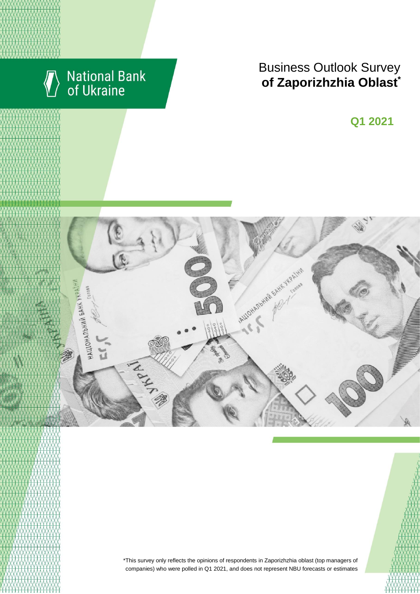

# **Business Outlook Survey**  $\bullet$  **6 Zaporizhzhia Oblast**

**Q2 2018 Q1 2021**



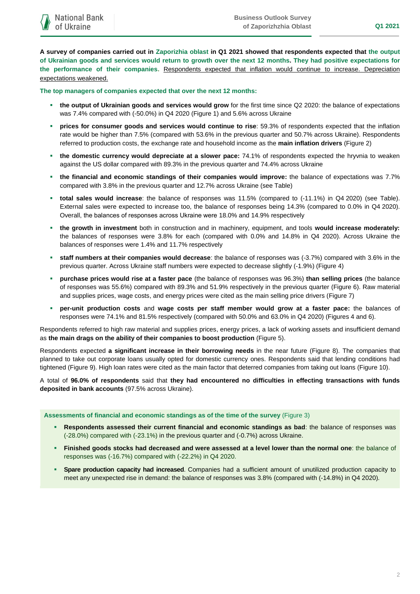**A survey of companies carried out in Zaporizhia oblast in Q1 2021 showed that respondents expected that the output of Ukrainian goods and services would return to growth over the next 12 months. They had positive expectations for the performance of their companies.** Respondents expected that inflation would continue to increase. Depreciation expectations weakened.

**The top managers of companies expected that over the next 12 months:**

- **the output of Ukrainian goods and services would grow** for the first time since Q2 2020: the balance of expectations was 7.4% compared with (-50.0%) in Q4 2020 (Figure 1) and 5.6% across Ukraine
- **prices for consumer goods and services would continue to rise**: 59.3% of respondents expected that the inflation rate would be higher than 7.5% (compared with 53.6% in the previous quarter and 50.7% across Ukraine). Respondents referred to production costs, the exchange rate and household income as the **main inflation drivers** (Figure 2)
- **the domestic currency would depreciate at a slower pace:** 74.1% of respondents expected the hryvnia to weaken against the US dollar compared with 89.3% in the previous quarter and 74.4% across Ukraine
- **the financial and economic standings of their companies would improve:** the balance of expectations was 7.7% compared with 3.8% in the previous quarter and 12.7% across Ukraine (see Table)
- **total sales would increase**: the balance of responses was 11.5% (compared to (-11.1%) in Q4 2020) (see Table). External sales were expected to increase too, the balance of responses being 14.3% (compared to 0.0% in Q4 2020). Overall, the balances of responses across Ukraine were 18.0% and 14.9% respectively
- **the growth in investment** both in construction and in machinery, equipment, and tools **would increase moderately:**  the balances of responses were 3.8% for each (compared with 0.0% and 14.8% in Q4 2020). Across Ukraine the balances of responses were 1.4% and 11.7% respectively
- **staff numbers at their companies would decrease**: the balance of responses was (-3.7%) compared with 3.6% in the previous quarter. Across Ukraine staff numbers were expected to decrease slightly (-1.9%) (Figure 4)
- **purchase prices would rise at a faster pace** (the balance of responses was 96.3%) **than selling prices** (the balance of responses was 55.6%) compared with 89.3% and 51.9% respectively in the previous quarter (Figure 6). Raw material and supplies prices, wage costs, and energy prices were cited as the main selling price drivers (Figure 7)
- **per-unit production costs** and **wage costs per staff member would grow at a faster pace:** the balances of responses were 74.1% and 81.5% respectively (compared with 50.0% and 63.0% in Q4 2020) (Figures 4 and 6).

Respondents referred to high raw material and supplies prices, energy prices, a lack of working assets and insufficient demand as **the main drags on the ability of their companies to boost production** (Figure 5).

Respondents expected **a significant increase in their borrowing needs** in the near future (Figure 8). The companies that planned to take out corporate loans usually opted for domestic currency ones. Respondents said that lending conditions had tightened (Figure 9). High loan rates were cited as the main factor that deterred companies from taking out loans (Figure 10).

A total of **96.0% of respondents** said that **they had encountered no difficulties in effecting transactions with funds deposited in bank accounts** (97.5% across Ukraine).

**Assessments of financial and economic standings as of the time of the survey** (Figure 3)

- **Respondents assessed their current financial and economic standings as bad**: the balance of responses was (-28.0%) compared with (-23.1%) in the previous quarter and (-0.7%) across Ukraine.
- **Finished goods stocks had decreased and were assessed at a level lower than the normal one**: the balance of responses was (-16.7%) compared with (-22.2%) in Q4 2020.
- **Spare production capacity had increased**. Companies had a sufficient amount of unutilized production capacity to meet any unexpected rise in demand: the balance of responses was 3.8% (compared with (-14.8%) in Q4 2020).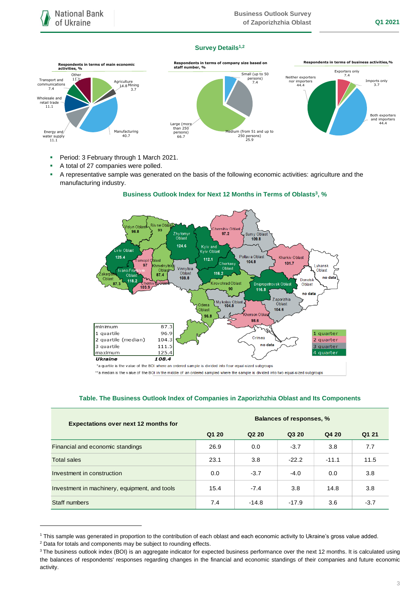### **Survey Details1,2**



- **Period: 3 February through 1 March 2021.**
- A total of 27 companies were polled.
- A representative sample was generated on the basis of the following economic activities: agriculture and the manufacturing industry.

### **Business Outlook Index for Next 12 Months in Terms of Oblasts<sup>3</sup> , %**



\*a quartile is the value of the BOI where an ordered sample is divided into four equal-sized subgroups

\*\*a median is the value of the BOI in the middle of an ordered sampled where the sample is divided into two equal-sized subgroups

|  | Table. The Business Outlook Index of Companies in Zaporizhzhia Oblast and Its Components |  |  |  |
|--|------------------------------------------------------------------------------------------|--|--|--|
|  |                                                                                          |  |  |  |

| <b>Expectations over next 12 months for</b>   | <b>Balances of responses, %</b> |                               |         |         |        |  |  |
|-----------------------------------------------|---------------------------------|-------------------------------|---------|---------|--------|--|--|
|                                               | Q1 20                           | Q <sub>2</sub> 2 <sub>0</sub> | Q3 20   | Q4 20   | Q1 21  |  |  |
| Financial and economic standings              | 26.9                            | 0.0                           | $-3.7$  | 3.8     | 7.7    |  |  |
| <b>Total sales</b>                            | 23.1                            | 3.8                           | $-22.2$ | $-11.1$ | 11.5   |  |  |
| Investment in construction                    | 0.0                             | $-3.7$                        | $-4.0$  | 0.0     | 3.8    |  |  |
| Investment in machinery, equipment, and tools | 15.4                            | $-7.4$                        | 3.8     | 14.8    | 3.8    |  |  |
| Staff numbers                                 | 7.4                             | $-14.8$                       | $-17.9$ | 3.6     | $-3.7$ |  |  |

<sup>1</sup> This sample was generated in proportion to the contribution of each oblast and each economic activity to Ukraine's gross value added.

1

<sup>&</sup>lt;sup>2</sup> Data for totals and components may be subject to rounding effects.

<sup>&</sup>lt;sup>3</sup> The business outlook index (BOI) is an aggregate indicator for expected business performance over the next 12 months. It is calculated using the balances of respondents' responses regarding changes in the financial and economic standings of their companies and future economic activity.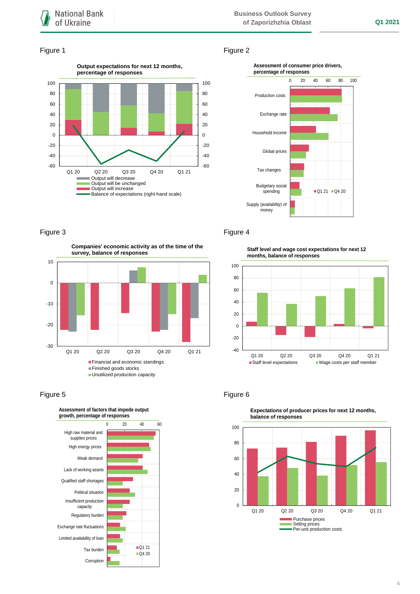### Figure 1 Figure 2





**Companies' economic activity as of the time of the survey, balance of responses**



## Figure 5 **Figure 6**



# Figure 3 **Figure 4**

**Staff level and wage cost expectations for next 12 months, balance of responses**





**Expectations of producer prices for next 12 months,**